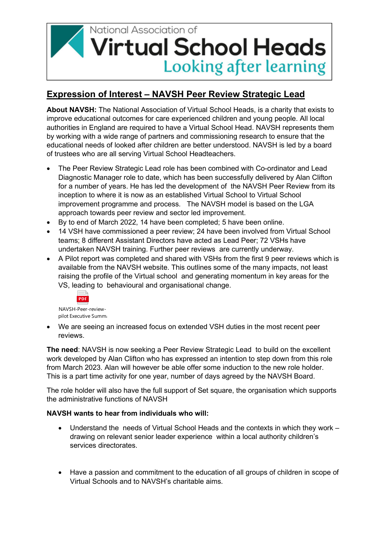

## **Expression of Interest – NAVSH Peer Review Strategic Lead**

**About NAVSH:** The National Association of Virtual School Heads, is a charity that exists to improve educational outcomes for care experienced children and young people. All local authorities in England are required to have a Virtual School Head. NAVSH represents them by working with a wide range of partners and commissioning research to ensure that the educational needs of looked after children are better understood. NAVSH is led by a board of trustees who are all serving Virtual School Headteachers.

- The Peer Review Strategic Lead role has been combined with Co-ordinator and Lead Diagnostic Manager role to date, which has been successfully delivered by Alan Clifton for a number of years. He has led the development of the NAVSH Peer Review from its inception to where it is now as an established Virtual School to Virtual School improvement programme and process. The NAVSH model is based on the LGA approach towards peer review and sector led improvement.
- By to end of March 2022, 14 have been completed; 5 have been online.
- 14 VSH have commissioned a peer review; 24 have been involved from Virtual School teams; 8 different Assistant Directors have acted as Lead Peer; 72 VSHs have undertaken NAVSH training. Further peer reviews are currently underway.
- A Pilot report was completed and shared with VSHs from the first 9 peer reviews which is available from the NAVSH website. This outlines some of the many impacts, not least raising the profile of the Virtual school and generating momentum in key areas for the VS, leading to behavioural and organisational change.



NAVSH-Peer-reviewpilot Executive Summa

We are seeing an increased focus on extended VSH duties in the most recent peer reviews.

**The need**: NAVSH is now seeking a Peer Review Strategic Lead to build on the excellent work developed by Alan Clifton who has expressed an intention to step down from this role from March 2023. Alan will however be able offer some induction to the new role holder. This is a part time activity for one year, number of days agreed by the NAVSH Board.

The role holder will also have the full support of Set square, the organisation which supports the administrative functions of NAVSH

## **NAVSH wants to hear from individuals who will:**

- Understand the needs of Virtual School Heads and the contexts in which they work drawing on relevant senior leader experience within a local authority children's services directorates.
- Have a passion and commitment to the education of all groups of children in scope of Virtual Schools and to NAVSH's charitable aims.